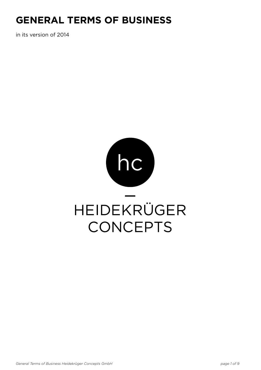# **General Terms of Business**

in its version of 2014

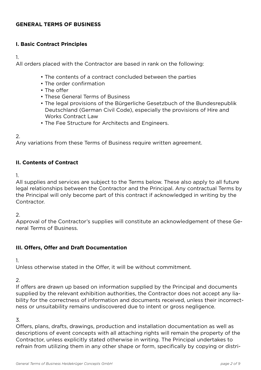#### **General Terms of Business**

#### **I. Basic Contract Principles**

1.

All orders placed with the Contractor are based in rank on the following:

- The contents of a contract concluded between the parties
- The order confirmation
- The offer
- These General Terms of Business
- The legal provisions of the Bürgerliche Gesetzbuch of the Bundesrepublik Deutschland (German Civil Code), especially the provisions of Hire and Works Contract Law
- The Fee Structure for Architects and Engineers.

#### 2.

Any variations from these Terms of Business require written agreement.

## **II. Contents of Contract**

1.

All supplies and services are subject to the Terms below. These also apply to all future legal relationships between the Contractor and the Principal. Any contractual Terms by the Principal will only become part of this contract if acknowledged in writing by the Contractor.

2.

Approval of the Contractor's supplies will constitute an acknowledgement of these General Terms of Business.

#### **III. Offers, Offer and Draft Documentation**

1.

Unless otherwise stated in the Offer, it will be without commitment.

2.

If offers are drawn up based on information supplied by the Principal and documents supplied by the relevant exhibition authorities, the Contractor does not accept any liability for the correctness of information and documents received, unless their incorrectness or unsuitability remains undiscovered due to intent or gross negligence.

3.

Offers, plans, drafts, drawings, production and installation documentation as well as descriptions of event concepts with all attaching rights will remain the property of the Contractor, unless explicitly stated otherwise in writing. The Principal undertakes to refrain from utilizing them in any other shape or form, specifically by copying or distri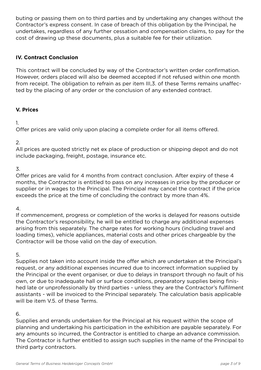buting or passing them on to third parties and by undertaking any changes without the Contractor's express consent. In case of breach of this obligation by the Principal, he undertakes, regardless of any further cessation and compensation claims, to pay for the cost of drawing up these documents, plus a suitable fee for their utilization.

#### **IV. Contract Conclusion**

This contract will be concluded by way of the Contractor's written order confirmation. However, orders placed will also be deemed accepted if not refused within one month from receipt. The obligation to refrain as per item III,3. of these Terms remains unaffected by the placing of any order or the conclusion of any extended contract.

#### **V. Prices**

1.

Offer prices are valid only upon placing a complete order for all items offered.

2.

All prices are quoted strictly net ex place of production or shipping depot and do not include packaging, freight, postage, insurance etc.

3.

Offer prices are valid for 4 months from contract conclusion. After expiry of these 4 months, the Contractor is entitled to pass on any increases in price by the producer or supplier or in wages to the Principal. The Principal may cancel the contract if the price exceeds the price at the time of concluding the contract by more than 4%.

4.

If commencement, progress or completion of the works is delayed for reasons outside the Contractor's responsibility, he will be entitled to charge any additional expenses arising from this separately. The charge rates for working hours (including travel and loading times), vehicle appliances, material costs and other prices chargeable by the Contractor will be those valid on the day of execution.

5.

Supplies not taken into account inside the offer which are undertaken at the Principal's request, or any additional expenses incurred due to incorrect information supplied by the Principal or the event organiser, or due to delays in transport through no fault of his own, or due to inadequate hall or surface conditions, preparatory supplies being finished late or unprofessionally by third parties - unless they are the Contractor's fulfilment assistants - will be invoiced to the Principal separately. The calculation basis applicable will be item V.5. of these Terms.

#### 6.

Supplies and errands undertaken for the Principal at his request within the scope of planning and undertaking his participation in the exhibition are payable separately. For any amounts so incurred, the Contractor is entitled to charge an advance commission. The Contractor is further entitled to assign such supplies in the name of the Principal to third party contractors.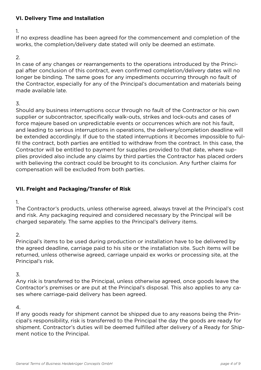# **VI. Delivery Time and Installation**

1.

If no express deadline has been agreed for the commencement and completion of the works, the completion/delivery date stated will only be deemed an estimate.

## 2.

In case of any changes or rearrangements to the operations introduced by the Principal after conclusion of this contract, even confirmed completion/delivery dates will no longer be binding. The same goes for any impediments occurring through no fault of the Contractor, especially for any of the Principal's documentation and materials being made available late.

## 3.

Should any business interruptions occur through no fault of the Contractor or his own supplier or subcontractor, specifically walk-outs, strikes and lock-outs and cases of force majeure based on unpredictable events or occurrences which are not his fault, and leading to serious interruptions in operations, the delivery/completion deadline will be extended accordingly. If due to the stated interruptions it becomes impossible to fulfil the contract, both parties are entitled to withdraw from the contract. In this case, the Contractor will be entitled to payment for supplies provided to that date, where supplies provided also include any claims by third parties the Contractor has placed orders with believing the contract could be brought to its conclusion. Any further claims for compensation will be excluded from both parties.

# **VII. Freight and Packaging/Transfer of Risk**

1.

The Contractor's products, unless otherwise agreed, always travel at the Principal's cost and risk. Any packaging required and considered necessary by the Principal will be charged separately. The same applies to the Principal's delivery items.

2.

Principal's items to be used during production or installation have to be delivered by the agreed deadline, carriage paid to his site or the installation site. Such items will be returned, unless otherwise agreed, carriage unpaid ex works or processing site, at the Principal's risk.

# 3.

Any risk is transferred to the Principal, unless otherwise agreed, once goods leave the Contractor's premises or are put at the Principal's disposal. This also applies to any cases where carriage-paid delivery has been agreed.

# 4.

If any goods ready for shipment cannot be shipped due to any reasons being the Principal's responsibility, risk is transferred to the Principal the day the goods are ready for shipment. Contractor's duties will be deemed fulfilled after delivery of a Ready for Shipment notice to the Principal.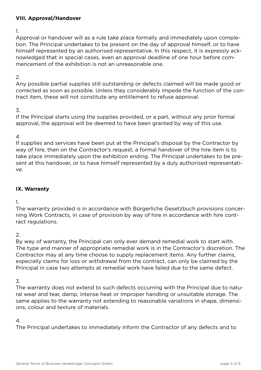#### **VIII. Approval/Handover**

1.

Approval or handover will as a rule take place formally and immediately upon completion. The Principal undertakes to be present on the day of approval himself, or to have himself represented by an authorised representative. In this respect, it is expressly acknowledged that in special cases, even an approval deadline of one hour before commencement of the exhibition is not an unreasonable one.

# 2.

Any possible partial supplies still outstanding or defects claimed will be made good or corrected as soon as possible. Unless they considerably impede the function of the contract item, these will not constitute any entitlement to refuse approval.

# 3.

If the Principal starts using the supplies provided, or a part, without any prior formal approval, the approval will be deemed to have been granted by way of this use.

## 4.

If supplies and services have been put at the Principal's disposal by the Contractor by way of hire, then on the Contractor's request, a formal handover of the hire item is to take place immediately upon the exhibition ending. The Principal undertakes to be present at this handover, or to have himself represented by a duly authorised representative.

# **IX. Warranty**

1.

The warranty provided is in accordance with Bürgerliche Gesetzbuch provisions concerning Work Contracts, in case of provision by way of hire in accordance with hire contract regulations.

2.

By way of warranty, the Principal can only ever demand remedial work to start with. The type and manner of appropriate remedial work is in the Contractor's discretion. The Contractor may at any time choose to supply replacement items. Any further claims, especially claims for loss or withdrawal from the contract, can only be claimed by the Principal in case two attempts at remedial work have failed due to the same defect.

# 3.

The warranty does not extend to such defects occurring with the Principal due to natural wear and tear, damp, intense heat or improper handling or unsuitable storage. The same applies to the warranty not extending to reasonable variations in shape, dimensions, colour and texture of materials.

# 4.

The Principal undertakes to immediately inform the Contractor of any defects and to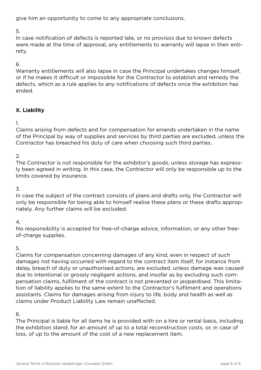give him an opportunity to come to any appropriate conclusions.

5.

In case notification of defects is reported late, or no provisos due to known defects were made at the time of approval, any entitlements to warranty will lapse in their entirety.

## 6.

Warranty entitlements will also lapse in case the Principal undertakes changes himself, or if he makes it difficult or impossible for the Contractor to establish and remedy the defects, which as a rule applies to any notifications of defects once the exhibition has ended.

# **X. Liability**

1.

Claims arising from defects and for compensation for errands undertaken in the name of the Principal by way of supplies and services by third parties are excluded, unless the Contractor has breached his duty of care when choosing such third parties.

# 2.

The Contractor is not responsible for the exhibitor's goods, unless storage has expressly been agreed in writing. In this case, the Contractor will only be responsible up to the limits covered by insurance.

3.

In case the subject of the contract consists of plans and drafts only, the Contractor will only be responsible for being able to himself realise these plans or these drafts appropriately. Any further claims will be excluded.

# 4.

No responsibility is accepted for free-of-charge advice, information, or any other freeof-charge supplies.

# 5.

Claims for compensation concerning damages of any kind, even in respect of such damages not having occurred with regard to the contract item itself, for instance from delay, breach of duty or unauthorised actions, are excluded, unless damage was caused due to intentional or grossly negligent actions, and insofar as by excluding such compensation claims, fulfilment of the contract is not prevented or jeopardised. This limitation of liability applies to the same extent to the Contractor's fulfilment and operations assistants. Claims for damages arising from injury to life, body and health as well as claims under Product Liability Law remain unaffected.

# 6.

The Principal is liable for all items he is provided with on a hire or rental basis, including the exhibition stand, for an amount of up to a total reconstruction costs, or, in case of loss, of up to the amount of the cost of a new replacement item.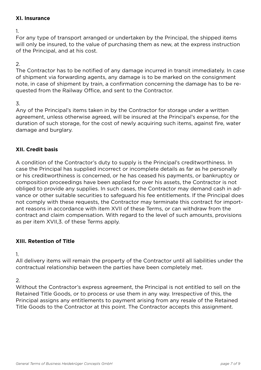#### **XI. Insurance**

1.

For any type of transport arranged or undertaken by the Principal, the shipped items will only be insured, to the value of purchasing them as new, at the express instruction of the Principal, and at his cost.

#### 2.

The Contractor has to be notified of any damage incurred in transit immediately. In case of shipment via forwarding agents, any damage is to be marked on the consignment note, in case of shipment by train, a confirmation concerning the damage has to be requested from the Railway Office, and sent to the Contractor.

#### 3.

Any of the Principal's items taken in by the Contractor for storage under a written agreement, unless otherwise agreed, will be insured at the Principal's expense, for the duration of such storage, for the cost of newly acquiring such items, against fire, water damage and burglary.

## **XII. Credit basis**

A condition of the Contractor's duty to supply is the Principal's creditworthiness. In case the Principal has supplied incorrect or incomplete details as far as he personally or his creditworthiness is concerned, or he has ceased his payments, or bankruptcy or composition proceedings have been applied for over his assets, the Contractor is not obliged to provide any supplies. In such cases, the Contractor may demand cash in advance or other suitable securities to safeguard his fee entitlements. If the Principal does not comply with these requests, the Contractor may terminate this contract for important reasons in accordance with item XVII of these Terms, or can withdraw from the contract and claim compensation. With regard to the level of such amounts, provisions as per item XVII,3. of these Terms apply.

#### **XIII. Retention of Title**

1.

All delivery items will remain the property of the Contractor until all liabilities under the contractual relationship between the parties have been completely met.

#### 2.

Without the Contractor's express agreement, the Principal is not entitled to sell on the Retained Title Goods, or to process or use them in any way. Irrespective of this, the Principal assigns any entitlements to payment arising from any resale of the Retained Title Goods to the Contractor at this point. The Contractor accepts this assignment.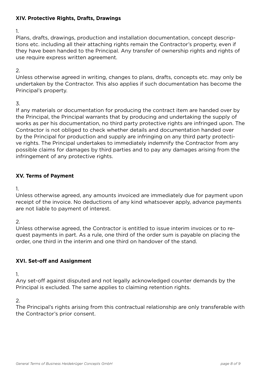## **XIV. Protective Rights, Drafts, Drawings**

1.

Plans, drafts, drawings, production and installation documentation, concept descriptions etc. including all their attaching rights remain the Contractor's property, even if they have been handed to the Principal. Any transfer of ownership rights and rights of use require express written agreement.

#### $\mathcal{P}$

Unless otherwise agreed in writing, changes to plans, drafts, concepts etc. may only be undertaken by the Contractor. This also applies if such documentation has become the Principal's property.

## 3.

If any materials or documentation for producing the contract item are handed over by the Principal, the Principal warrants that by producing and undertaking the supply of works as per his documentation, no third party protective rights are infringed upon. The Contractor is not obliged to check whether details and documentation handed over by the Principal for production and supply are infringing on any third party protective rights. The Principal undertakes to immediately indemnify the Contractor from any possible claims for damages by third parties and to pay any damages arising from the infringement of any protective rights.

# **XV. Terms of Payment**

1.

Unless otherwise agreed, any amounts invoiced are immediately due for payment upon receipt of the invoice. No deductions of any kind whatsoever apply, advance payments are not liable to payment of interest.

2.

Unless otherwise agreed, the Contractor is entitled to issue interim invoices or to request payments in part. As a rule, one third of the order sum is payable on placing the order, one third in the interim and one third on handover of the stand.

# **XVI. Set-off and Assignment**

1.

Any set-off against disputed and not legally acknowledged counter demands by the Principal is excluded. The same applies to claiming retention rights.

# 2.

The Principal's rights arising from this contractual relationship are only transferable with the Contractor's prior consent.